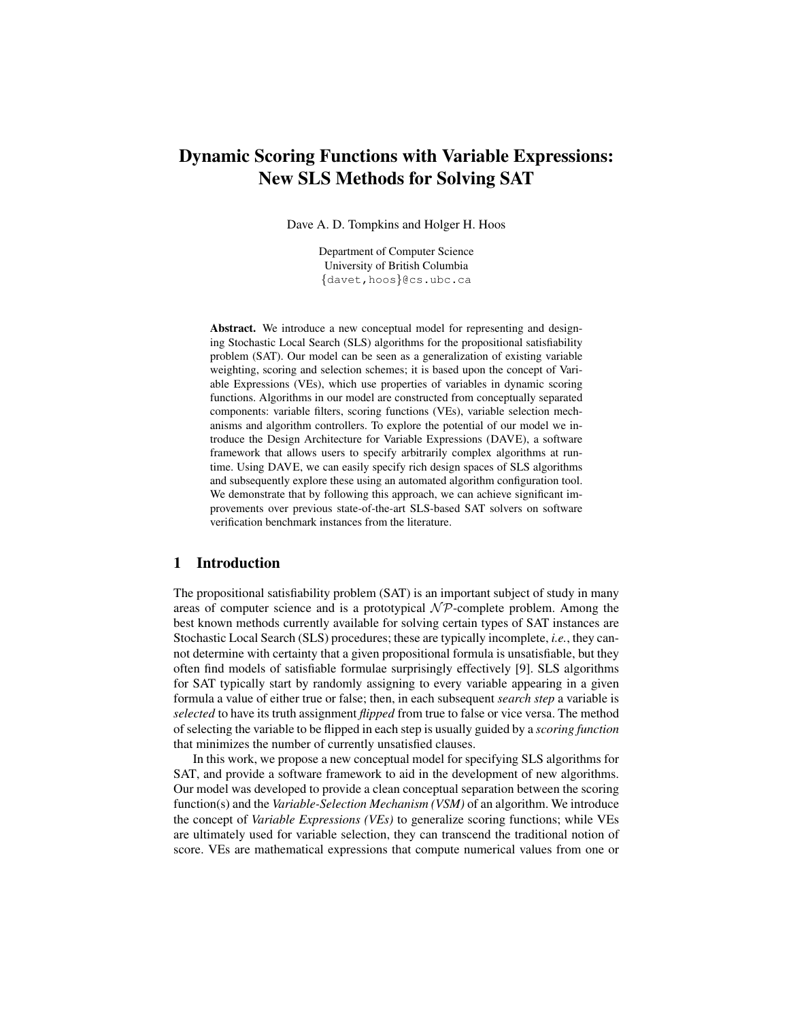# Dynamic Scoring Functions with Variable Expressions: New SLS Methods for Solving SAT

Dave A. D. Tompkins and Holger H. Hoos

Department of Computer Science University of British Columbia {davet,hoos}@cs.ubc.ca

Abstract. We introduce a new conceptual model for representing and designing Stochastic Local Search (SLS) algorithms for the propositional satisfiability problem (SAT). Our model can be seen as a generalization of existing variable weighting, scoring and selection schemes; it is based upon the concept of Variable Expressions (VEs), which use properties of variables in dynamic scoring functions. Algorithms in our model are constructed from conceptually separated components: variable filters, scoring functions (VEs), variable selection mechanisms and algorithm controllers. To explore the potential of our model we introduce the Design Architecture for Variable Expressions (DAVE), a software framework that allows users to specify arbitrarily complex algorithms at runtime. Using DAVE, we can easily specify rich design spaces of SLS algorithms and subsequently explore these using an automated algorithm configuration tool. We demonstrate that by following this approach, we can achieve significant improvements over previous state-of-the-art SLS-based SAT solvers on software verification benchmark instances from the literature.

# 1 Introduction

The propositional satisfiability problem (SAT) is an important subject of study in many areas of computer science and is a prototypical  $\mathcal{NP}$ -complete problem. Among the best known methods currently available for solving certain types of SAT instances are Stochastic Local Search (SLS) procedures; these are typically incomplete, *i.e.*, they cannot determine with certainty that a given propositional formula is unsatisfiable, but they often find models of satisfiable formulae surprisingly effectively [\[9\]](#page-13-0). SLS algorithms for SAT typically start by randomly assigning to every variable appearing in a given formula a value of either true or false; then, in each subsequent *search step* a variable is *selected* to have its truth assignment *flipped* from true to false or vice versa. The method of selecting the variable to be flipped in each step is usually guided by a *scoring function* that minimizes the number of currently unsatisfied clauses.

In this work, we propose a new conceptual model for specifying SLS algorithms for SAT, and provide a software framework to aid in the development of new algorithms. Our model was developed to provide a clean conceptual separation between the scoring function(s) and the *Variable-Selection Mechanism (VSM)* of an algorithm. We introduce the concept of *Variable Expressions (VEs)* to generalize scoring functions; while VEs are ultimately used for variable selection, they can transcend the traditional notion of score. VEs are mathematical expressions that compute numerical values from one or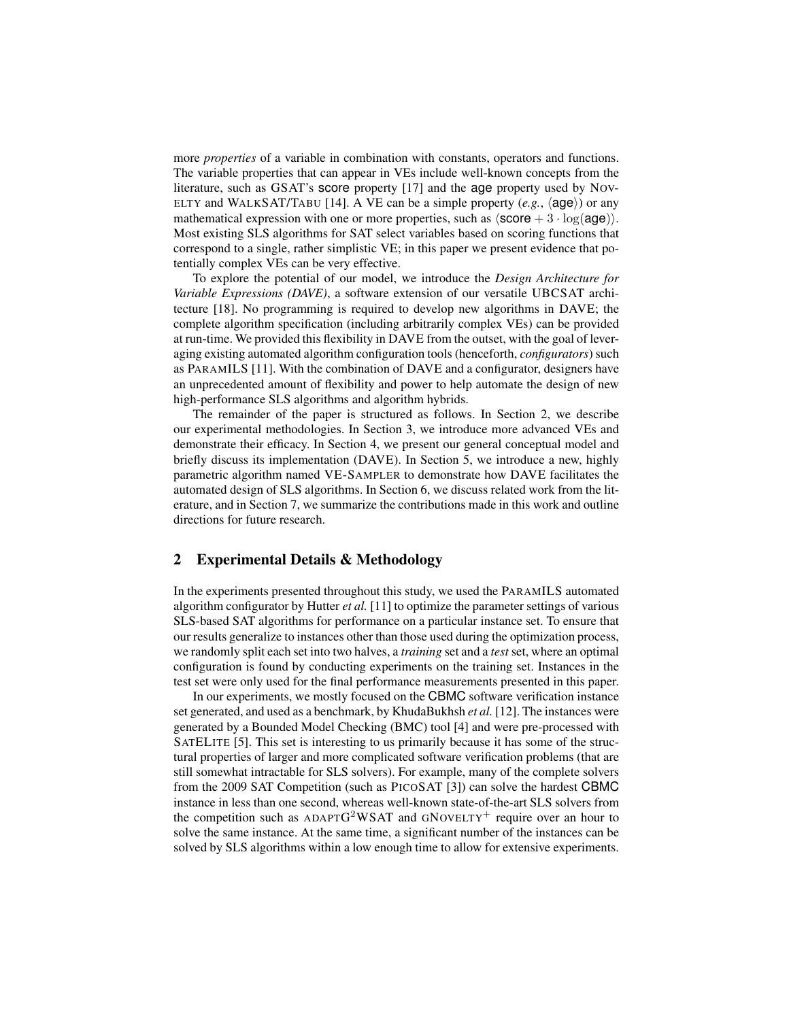more *properties* of a variable in combination with constants, operators and functions. The variable properties that can appear in VEs include well-known concepts from the literature, such as GSAT's score property [\[17\]](#page-13-1) and the age property used by NOV-ELTY and WALKSAT/TABU [\[14\]](#page-13-2). A VE can be a simple property  $(e.g., \langle age \rangle)$  or any mathematical expression with one or more properties, such as  $\langle$ **score** + 3 · log(**age**)). Most existing SLS algorithms for SAT select variables based on scoring functions that correspond to a single, rather simplistic VE; in this paper we present evidence that potentially complex VEs can be very effective.

To explore the potential of our model, we introduce the *Design Architecture for Variable Expressions (DAVE)*, a software extension of our versatile UBCSAT architecture [\[18\]](#page-13-3). No programming is required to develop new algorithms in DAVE; the complete algorithm specification (including arbitrarily complex VEs) can be provided at run-time. We provided this flexibility in DAVE from the outset, with the goal of leveraging existing automated algorithm configuration tools (henceforth, *configurators*) such as PARAMILS [\[11\]](#page-13-4). With the combination of DAVE and a configurator, designers have an unprecedented amount of flexibility and power to help automate the design of new high-performance SLS algorithms and algorithm hybrids.

The remainder of the paper is structured as follows. In [Section 2,](#page-1-0) we describe our experimental methodologies. In [Section 3,](#page-2-0) we introduce more advanced VEs and demonstrate their efficacy. In [Section 4,](#page-6-0) we present our general conceptual model and briefly discuss its implementation (DAVE). In [Section 5,](#page-8-0) we introduce a new, highly parametric algorithm named VE-SAMPLER to demonstrate how DAVE facilitates the automated design of SLS algorithms. In [Section 6,](#page-11-0) we discuss related work from the literature, and in [Section 7,](#page-12-0) we summarize the contributions made in this work and outline directions for future research.

## <span id="page-1-0"></span>2 Experimental Details & Methodology

In the experiments presented throughout this study, we used the PARAMILS automated algorithm configurator by Hutter *et al.* [\[11\]](#page-13-4) to optimize the parameter settings of various SLS-based SAT algorithms for performance on a particular instance set. To ensure that our results generalize to instances other than those used during the optimization process, we randomly split each set into two halves, a *training* set and a *test* set, where an optimal configuration is found by conducting experiments on the training set. Instances in the test set were only used for the final performance measurements presented in this paper.

In our experiments, we mostly focused on the CBMC software verification instance set generated, and used as a benchmark, by KhudaBukhsh *et al.* [\[12\]](#page-13-5). The instances were generated by a Bounded Model Checking (BMC) tool [\[4\]](#page-13-6) and were pre-processed with SATELITE [\[5\]](#page-13-7). This set is interesting to us primarily because it has some of the structural properties of larger and more complicated software verification problems (that are still somewhat intractable for SLS solvers). For example, many of the complete solvers from the 2009 SAT Competition (such as PICOSAT [\[3\]](#page-13-8)) can solve the hardest CBMC instance in less than one second, whereas well-known state-of-the-art SLS solvers from the competition such as  $ADAPTG^2WSAT$  and  $GNOVELTY^+$  require over an hour to solve the same instance. At the same time, a significant number of the instances can be solved by SLS algorithms within a low enough time to allow for extensive experiments.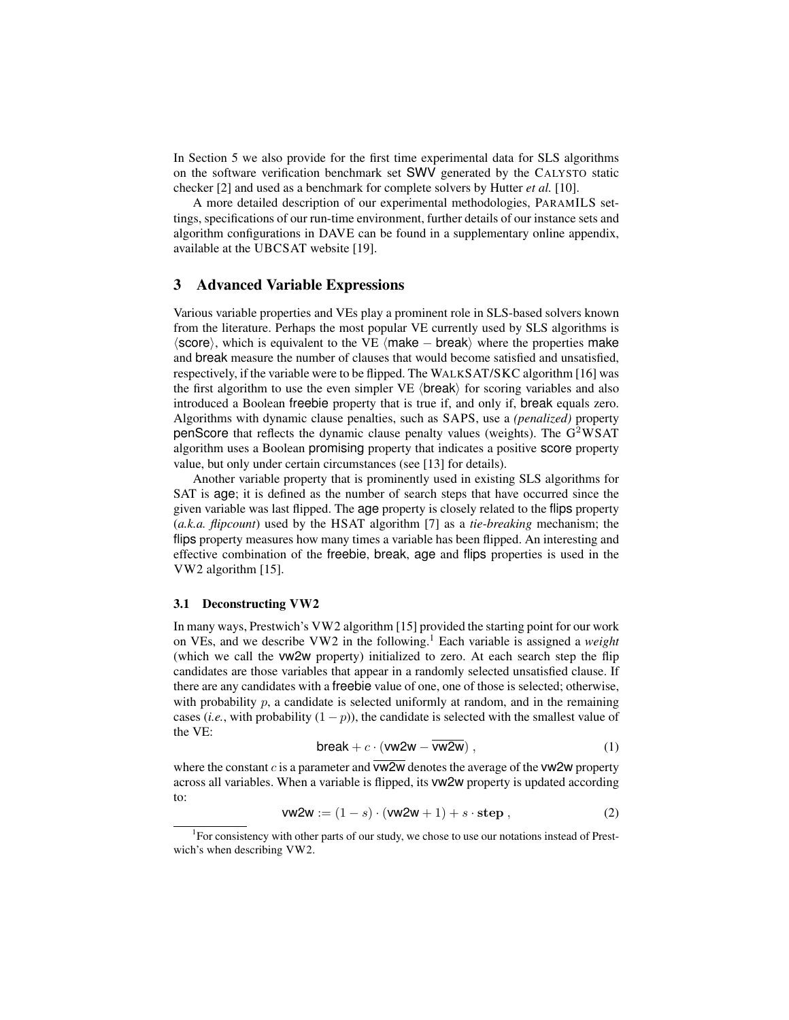In [Section 5](#page-8-0) we also provide for the first time experimental data for SLS algorithms on the software verification benchmark set SWV generated by the CALYSTO static checker [\[2\]](#page-13-9) and used as a benchmark for complete solvers by Hutter *et al.* [\[10\]](#page-13-10).

A more detailed description of our experimental methodologies, PARAMILS settings, specifications of our run-time environment, further details of our instance sets and algorithm configurations in DAVE can be found in a supplementary online appendix, available at the UBCSAT website [\[19\]](#page-13-11).

## <span id="page-2-0"></span>3 Advanced Variable Expressions

Various variable properties and VEs play a prominent role in SLS-based solvers known from the literature. Perhaps the most popular VE currently used by SLS algorithms is  $\langle$  score $\rangle$ , which is equivalent to the VE  $\langle$  make − break $\rangle$  where the properties make and break measure the number of clauses that would become satisfied and unsatisfied, respectively, if the variable were to be flipped. The WALKSAT/SKC algorithm [\[16\]](#page-13-12) was the first algorithm to use the even simpler  $VE \langle break \rangle$  for scoring variables and also introduced a Boolean freebie property that is true if, and only if, break equals zero. Algorithms with dynamic clause penalties, such as SAPS, use a *(penalized)* property **penScore** that reflects the dynamic clause penalty values (weights). The  $G^2WSAT$ algorithm uses a Boolean promising property that indicates a positive score property value, but only under certain circumstances (see [\[13\]](#page-13-13) for details).

Another variable property that is prominently used in existing SLS algorithms for SAT is age; it is defined as the number of search steps that have occurred since the given variable was last flipped. The age property is closely related to the flips property (*a.k.a. flipcount*) used by the HSAT algorithm [\[7\]](#page-13-14) as a *tie-breaking* mechanism; the flips property measures how many times a variable has been flipped. An interesting and effective combination of the freebie, break, age and flips properties is used in the VW2 algorithm [\[15\]](#page-13-15).

#### 3.1 Deconstructing VW2

In many ways, Prestwich's VW2 algorithm [\[15\]](#page-13-15) provided the starting point for our work on VEs, and we describe VW2 in the following.[1](#page-2-1) Each variable is assigned a *weight* (which we call the vw2w property) initialized to zero. At each search step the flip candidates are those variables that appear in a randomly selected unsatisfied clause. If there are any candidates with a freebie value of one, one of those is selected; otherwise, with probability  $p$ , a candidate is selected uniformly at random, and in the remaining cases (*i.e.*, with probability  $(1 - p)$ ), the candidate is selected with the smallest value of the VE:

<span id="page-2-2"></span>
$$
\text{break} + c \cdot (\text{vw2w} - \overline{\text{vw2w}}) , \qquad (1)
$$

where the constant c is a parameter and  $\overline{vw2w}$  denotes the average of the vw2w property across all variables. When a variable is flipped, its vw2w property is updated according to:

$$
\mathsf{vw2w} := (1 - s) \cdot (\mathsf{vw2w} + 1) + s \cdot \mathsf{step} \,,\tag{2}
$$

<span id="page-2-1"></span><sup>&</sup>lt;sup>1</sup>For consistency with other parts of our study, we chose to use our notations instead of Prestwich's when describing VW2.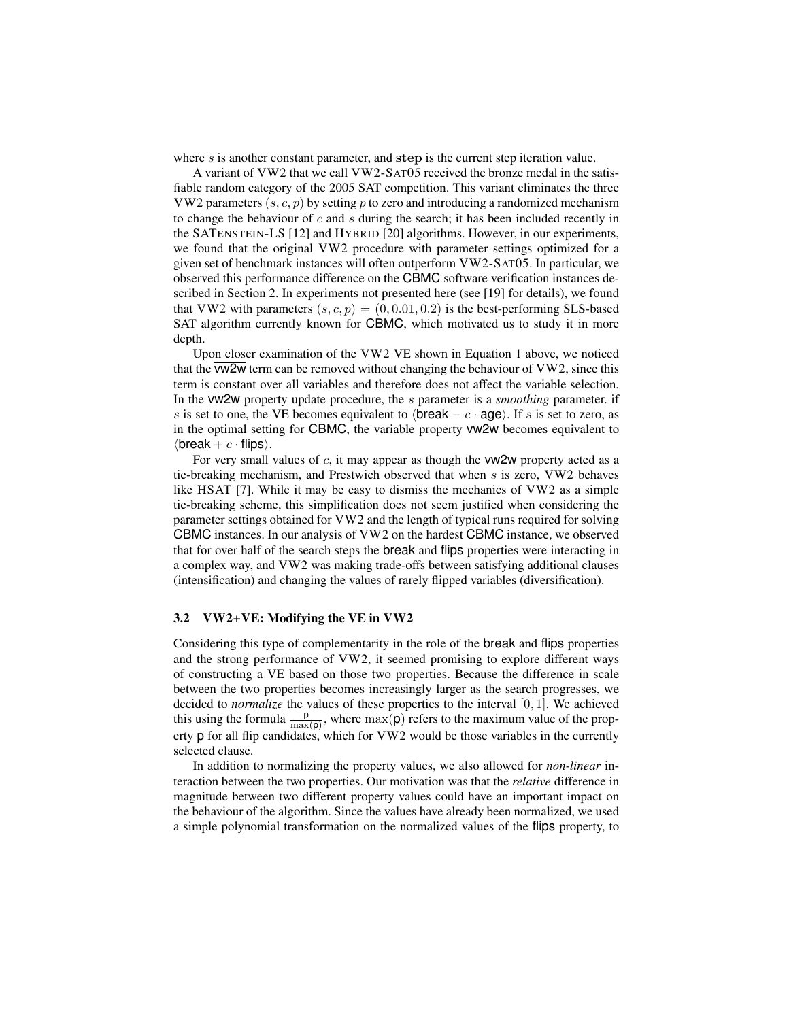where  $s$  is another constant parameter, and step is the current step iteration value.

A variant of VW2 that we call VW2-SAT05 received the bronze medal in the satisfiable random category of the 2005 SAT competition. This variant eliminates the three VW2 parameters  $(s, c, p)$  by setting p to zero and introducing a randomized mechanism to change the behaviour of  $c$  and  $s$  during the search; it has been included recently in the SATENSTEIN-LS [\[12\]](#page-13-5) and HYBRID [\[20\]](#page-13-16) algorithms. However, in our experiments, we found that the original VW2 procedure with parameter settings optimized for a given set of benchmark instances will often outperform VW2-SAT05. In particular, we observed this performance difference on the CBMC software verification instances described in [Section 2.](#page-1-0) In experiments not presented here (see [\[19\]](#page-13-11) for details), we found that VW2 with parameters  $(s, c, p) = (0, 0.01, 0.2)$  is the best-performing SLS-based SAT algorithm currently known for CBMC, which motivated us to study it in more depth.

Upon closer examination of the VW2 VE shown in [Equation 1](#page-2-2) above, we noticed that the  $\overline{vw2w}$  term can be removed without changing the behaviour of  $VW2$ , since this term is constant over all variables and therefore does not affect the variable selection. In the vw2w property update procedure, the s parameter is a *smoothing* parameter. if s is set to one, the VE becomes equivalent to  $\langle$  break  $-c \cdot$  age). If s is set to zero, as in the optimal setting for CBMC, the variable property vw2w becomes equivalent to  $\langle$ break + c · flips $\rangle$ .

For very small values of  $c$ , it may appear as though the VW2W property acted as a tie-breaking mechanism, and Prestwich observed that when  $s$  is zero, VW2 behaves like HSAT [\[7\]](#page-13-14). While it may be easy to dismiss the mechanics of VW2 as a simple tie-breaking scheme, this simplification does not seem justified when considering the parameter settings obtained for VW2 and the length of typical runs required for solving CBMC instances. In our analysis of VW2 on the hardest CBMC instance, we observed that for over half of the search steps the break and flips properties were interacting in a complex way, and VW2 was making trade-offs between satisfying additional clauses (intensification) and changing the values of rarely flipped variables (diversification).

#### 3.2 VW2+VE: Modifying the VE in VW2

Considering this type of complementarity in the role of the break and flips properties and the strong performance of VW2, it seemed promising to explore different ways of constructing a VE based on those two properties. Because the difference in scale between the two properties becomes increasingly larger as the search progresses, we decided to *normalize* the values of these properties to the interval [0, 1]. We achieved this using the formula  $\frac{p}{\max(p)}$ , where  $\max(p)$  refers to the maximum value of the property p for all flip candidates, which for VW2 would be those variables in the currently selected clause.

In addition to normalizing the property values, we also allowed for *non-linear* interaction between the two properties. Our motivation was that the *relative* difference in magnitude between two different property values could have an important impact on the behaviour of the algorithm. Since the values have already been normalized, we used a simple polynomial transformation on the normalized values of the flips property, to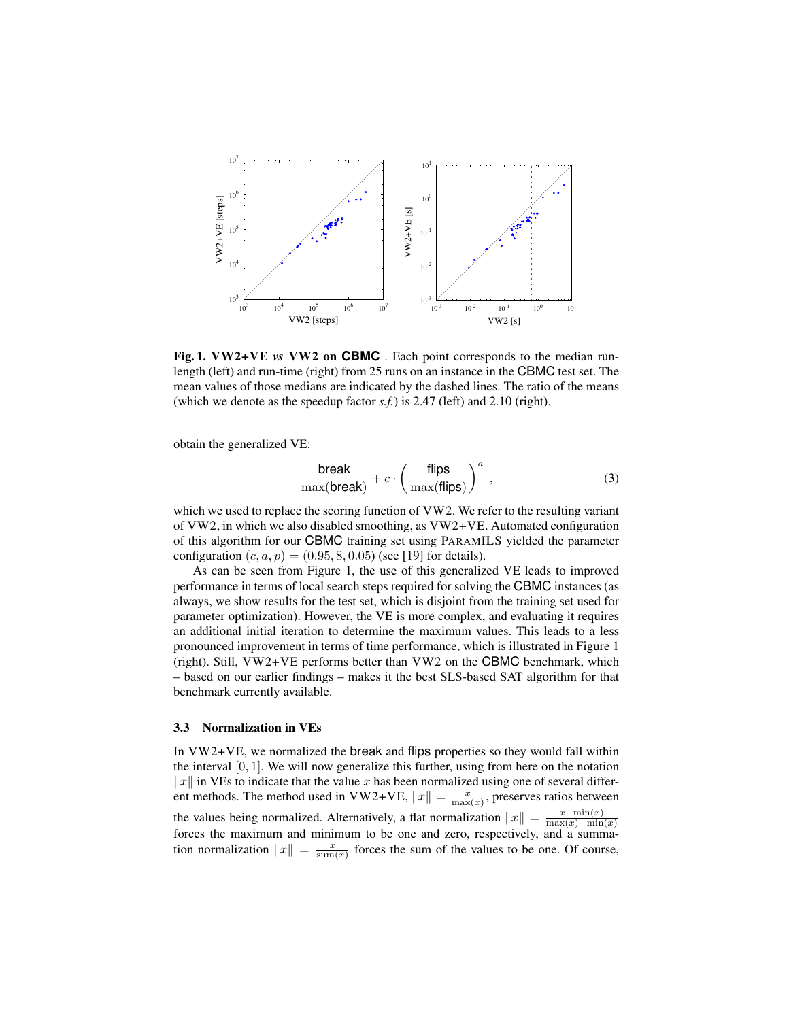<span id="page-4-0"></span>

Fig. 1. VW2+VE *vs* VW2 on **CBMC** . Each point corresponds to the median runlength (left) and run-time (right) from 25 runs on an instance in the CBMC test set. The mean values of those medians are indicated by the dashed lines. The ratio of the means (which we denote as the speedup factor *s.f.*) is 2.47 (left) and 2.10 (right).

obtain the generalized VE:

$$
\frac{\text{break}}{\max(\text{break})} + c \cdot \left(\frac{\text{flips}}{\max(\text{flips})}\right)^a, \tag{3}
$$

which we used to replace the scoring function of VW2. We refer to the resulting variant of VW2, in which we also disabled smoothing, as VW2+VE. Automated configuration of this algorithm for our CBMC training set using PARAMILS yielded the parameter configuration  $(c, a, p) = (0.95, 8, 0.05)$  (see [\[19\]](#page-13-11) for details).

As can be seen from [Figure 1,](#page-4-0) the use of this generalized VE leads to improved performance in terms of local search steps required for solving the CBMC instances (as always, we show results for the test set, which is disjoint from the training set used for parameter optimization). However, the VE is more complex, and evaluating it requires an additional initial iteration to determine the maximum values. This leads to a less pronounced improvement in terms of time performance, which is illustrated in [Figure 1](#page-4-0) (right). Still, VW2+VE performs better than VW2 on the CBMC benchmark, which – based on our earlier findings – makes it the best SLS-based SAT algorithm for that benchmark currently available.

#### <span id="page-4-1"></span>3.3 Normalization in VEs

In VW2+VE, we normalized the break and flips properties so they would fall within the interval  $[0, 1]$ . We will now generalize this further, using from here on the notation  $||x||$  in VEs to indicate that the value x has been normalized using one of several different methods. The method used in VW2+VE,  $||x|| = \frac{x}{\max(x)}$ , preserves ratios between the values being normalized. Alternatively, a flat normalization  $||x|| = \frac{x - \min(x)}{\max(x) - \min(x)}$  $max(x)-min(x)$ forces the maximum and minimum to be one and zero, respectively, and a summation normalization  $||x|| = \frac{x}{\text{sum}(x)}$  forces the sum of the values to be one. Of course,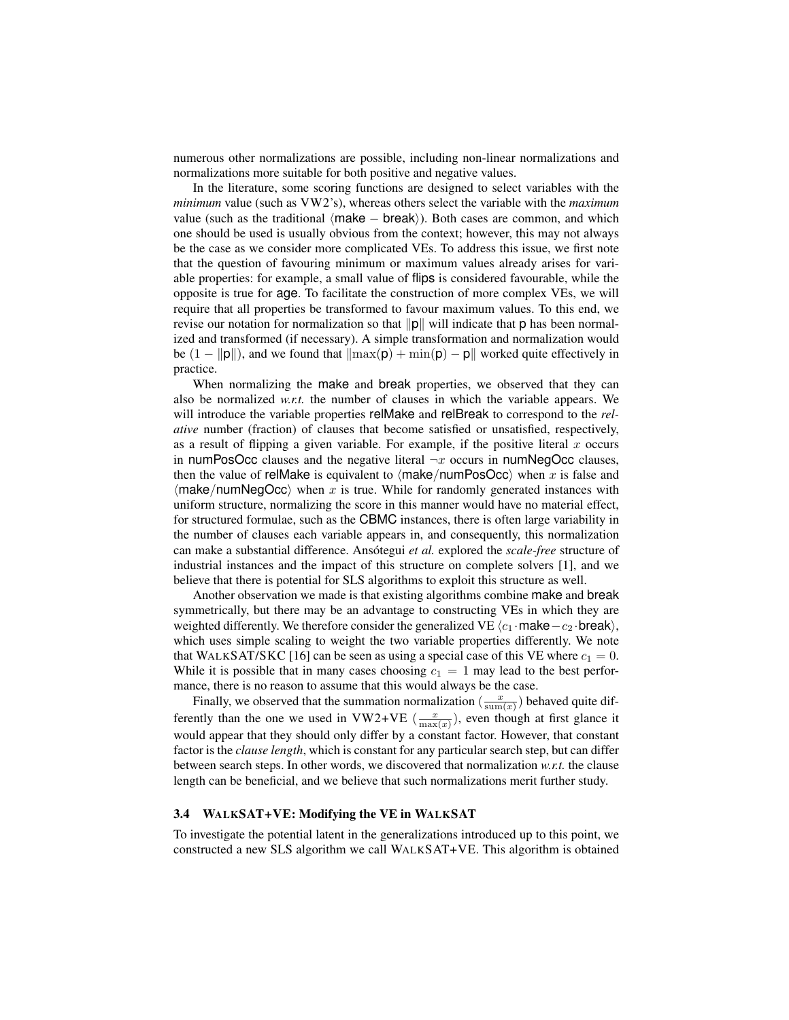numerous other normalizations are possible, including non-linear normalizations and normalizations more suitable for both positive and negative values.

In the literature, some scoring functions are designed to select variables with the *minimum* value (such as VW2's), whereas others select the variable with the *maximum* value (such as the traditional  $\langle$  make – break $\rangle$ ). Both cases are common, and which one should be used is usually obvious from the context; however, this may not always be the case as we consider more complicated VEs. To address this issue, we first note that the question of favouring minimum or maximum values already arises for variable properties: for example, a small value of flips is considered favourable, while the opposite is true for age. To facilitate the construction of more complex VEs, we will require that all properties be transformed to favour maximum values. To this end, we revise our notation for normalization so that  $\|\mathbf{p}\|$  will indicate that p has been normalized and transformed (if necessary). A simple transformation and normalization would be  $(1 - ||p||)$ , and we found that  $\|\max(p) + \min(p) - p\|$  worked quite effectively in practice.

When normalizing the make and break properties, we observed that they can also be normalized  $w.r.t.$  the number of clauses in which the variable appears. We will introduce the variable properties relMake and relBreak to correspond to the *relative* number (fraction) of clauses that become satisfied or unsatisfied, respectively, as a result of flipping a given variable. For example, if the positive literal  $x$  occurs in numPosOcc clauses and the negative literal  $\neg x$  occurs in numNegOcc clauses, then the value of relMake is equivalent to  $\langle$  make/numPosOcc $\rangle$  when x is false and  $\langle$ make/numNegOcc $\rangle$  when x is true. While for randomly generated instances with uniform structure, normalizing the score in this manner would have no material effect, for structured formulae, such as the CBMC instances, there is often large variability in the number of clauses each variable appears in, and consequently, this normalization can make a substantial difference. Ansotegui *et al.* explored the *scale-free* structure of industrial instances and the impact of this structure on complete solvers [\[1\]](#page-13-17), and we believe that there is potential for SLS algorithms to exploit this structure as well.

Another observation we made is that existing algorithms combine make and break symmetrically, but there may be an advantage to constructing VEs in which they are weighted differently. We therefore consider the generalized VE  $\langle c_1 \cdot \text{make}-c_2 \cdot \text{break} \rangle$ , which uses simple scaling to weight the two variable properties differently. We note that WALKSAT/SKC [\[16\]](#page-13-12) can be seen as using a special case of this VE where  $c_1 = 0$ . While it is possible that in many cases choosing  $c_1 = 1$  may lead to the best performance, there is no reason to assume that this would always be the case.

Finally, we observed that the summation normalization  $\left(\frac{x}{\text{sum}(x)}\right)$  behaved quite differently than the one we used in VW2+VE  $(\frac{x}{\max(x)})$ , even though at first glance it would appear that they should only differ by a constant factor. However, that constant factor is the *clause length*, which is constant for any particular search step, but can differ between search steps. In other words, we discovered that normalization *w.r.t.* the clause length can be beneficial, and we believe that such normalizations merit further study.

#### 3.4 WALKSAT+VE: Modifying the VE in WALKSAT

To investigate the potential latent in the generalizations introduced up to this point, we constructed a new SLS algorithm we call WALKSAT+VE. This algorithm is obtained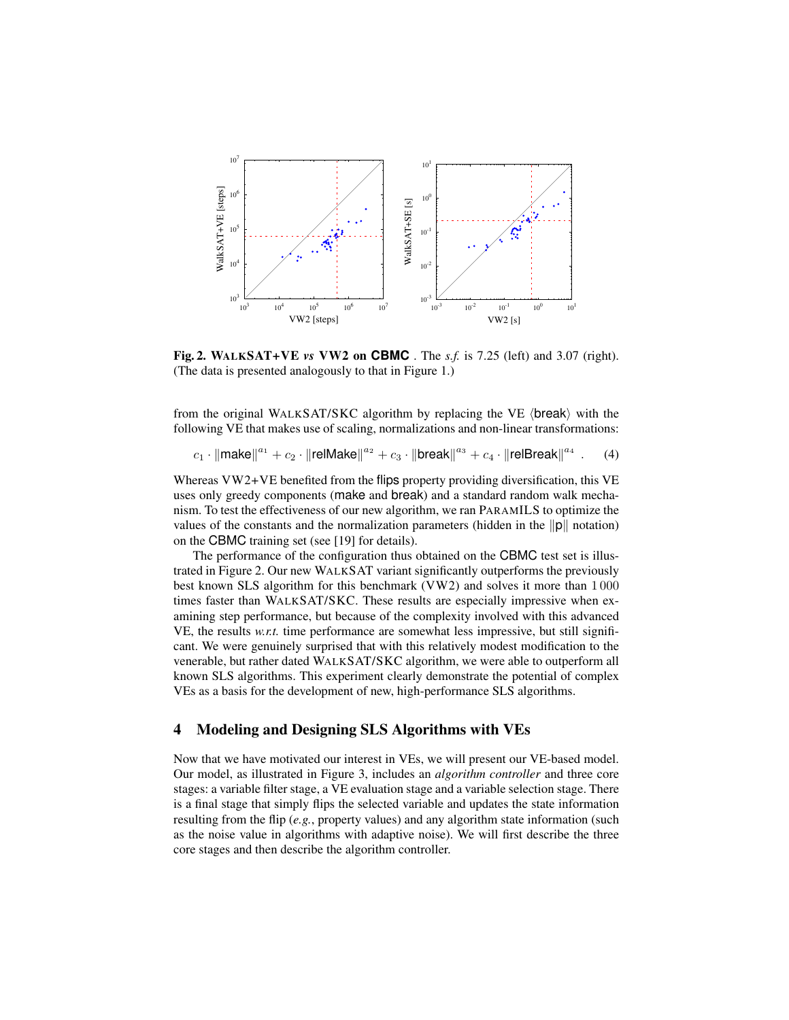<span id="page-6-1"></span>

Fig. 2. WALKSAT+VE *vs* VW2 on **CBMC** . The *s.f.* is 7.25 (left) and 3.07 (right). (The data is presented analogously to that in [Figure 1.](#page-4-0))

from the original WALKSAT/SKC algorithm by replacing the VE (break) with the following VE that makes use of scaling, normalizations and non-linear transformations:

$$
c_1 \cdot ||\mathsf{make}||^{a_1} + c_2 \cdot ||\mathsf{relu}||^{a_2} + c_3 \cdot ||\mathsf{break}||^{a_3} + c_4 \cdot ||\mathsf{reluBreak}||^{a_4} \ . \tag{4}
$$

Whereas VW2+VE benefited from the flips property providing diversification, this VE uses only greedy components (make and break) and a standard random walk mechanism. To test the effectiveness of our new algorithm, we ran PARAMILS to optimize the values of the constants and the normalization parameters (hidden in the  $\|p\|$  notation) on the CBMC training set (see [\[19\]](#page-13-11) for details).

The performance of the configuration thus obtained on the CBMC test set is illustrated in [Figure 2.](#page-6-1) Our new WALKSAT variant significantly outperforms the previously best known SLS algorithm for this benchmark (VW2) and solves it more than 1 000 times faster than WALKSAT/SKC. These results are especially impressive when examining step performance, but because of the complexity involved with this advanced VE, the results *w.r.t.* time performance are somewhat less impressive, but still significant. We were genuinely surprised that with this relatively modest modification to the venerable, but rather dated WALKSAT/SKC algorithm, we were able to outperform all known SLS algorithms. This experiment clearly demonstrate the potential of complex VEs as a basis for the development of new, high-performance SLS algorithms.

# <span id="page-6-0"></span>4 Modeling and Designing SLS Algorithms with VEs

Now that we have motivated our interest in VEs, we will present our VE-based model. Our model, as illustrated in [Figure 3,](#page-7-0) includes an *algorithm controller* and three core stages: a variable filter stage, a VE evaluation stage and a variable selection stage. There is a final stage that simply flips the selected variable and updates the state information resulting from the flip (*e.g.*, property values) and any algorithm state information (such as the noise value in algorithms with adaptive noise). We will first describe the three core stages and then describe the algorithm controller.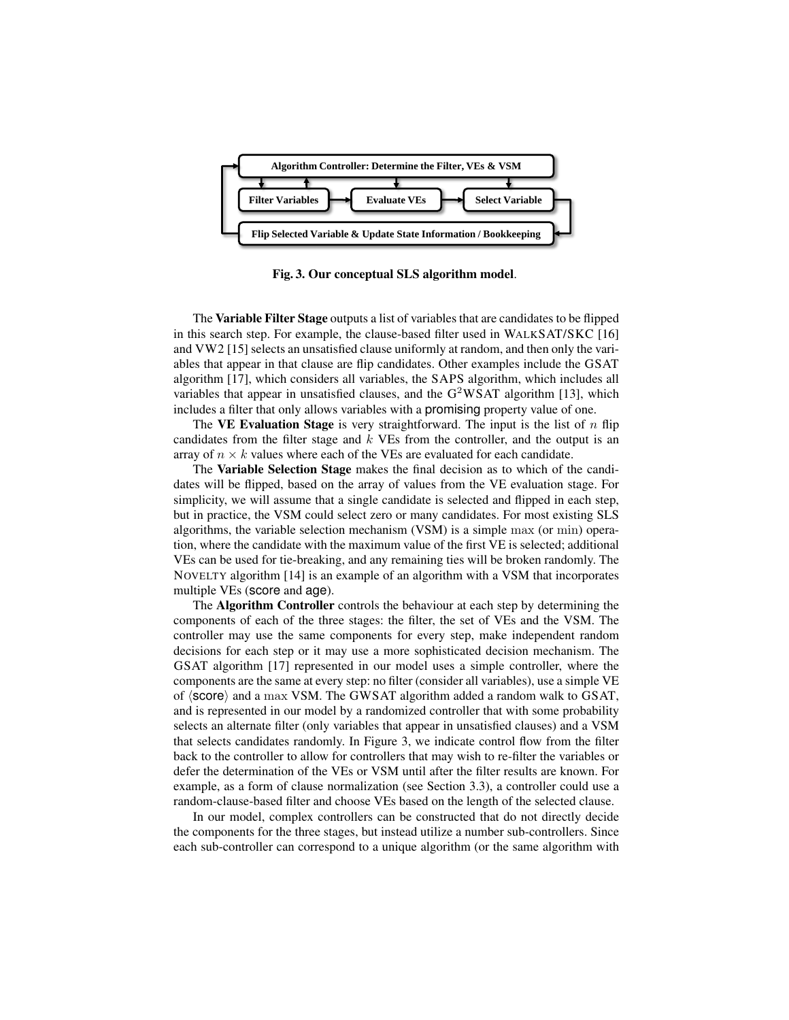<span id="page-7-0"></span>

Fig. 3. Our conceptual SLS algorithm model.

The Variable Filter Stage outputs a list of variables that are candidates to be flipped in this search step. For example, the clause-based filter used in WALKSAT/SKC [\[16\]](#page-13-12) and VW2 [\[15\]](#page-13-15) selects an unsatisfied clause uniformly at random, and then only the variables that appear in that clause are flip candidates. Other examples include the GSAT algorithm [\[17\]](#page-13-1), which considers all variables, the SAPS algorithm, which includes all variables that appear in unsatisfied clauses, and the  $G^2WSAT$  algorithm [\[13\]](#page-13-13), which includes a filter that only allows variables with a promising property value of one.

The VE Evaluation Stage is very straightforward. The input is the list of  $n$  flip candidates from the filter stage and  $k$  VEs from the controller, and the output is an array of  $n \times k$  values where each of the VEs are evaluated for each candidate.

The Variable Selection Stage makes the final decision as to which of the candidates will be flipped, based on the array of values from the VE evaluation stage. For simplicity, we will assume that a single candidate is selected and flipped in each step, but in practice, the VSM could select zero or many candidates. For most existing SLS algorithms, the variable selection mechanism (VSM) is a simple max (or min) operation, where the candidate with the maximum value of the first VE is selected; additional VEs can be used for tie-breaking, and any remaining ties will be broken randomly. The NOVELTY algorithm [\[14\]](#page-13-2) is an example of an algorithm with a VSM that incorporates multiple VEs (score and age).

The Algorithm Controller controls the behaviour at each step by determining the components of each of the three stages: the filter, the set of VEs and the VSM. The controller may use the same components for every step, make independent random decisions for each step or it may use a more sophisticated decision mechanism. The GSAT algorithm [\[17\]](#page-13-1) represented in our model uses a simple controller, where the components are the same at every step: no filter (consider all variables), use a simple VE of  $\langle$  score $\rangle$  and a max VSM. The GWSAT algorithm added a random walk to GSAT, and is represented in our model by a randomized controller that with some probability selects an alternate filter (only variables that appear in unsatisfied clauses) and a VSM that selects candidates randomly. In [Figure 3,](#page-7-0) we indicate control flow from the filter back to the controller to allow for controllers that may wish to re-filter the variables or defer the determination of the VEs or VSM until after the filter results are known. For example, as a form of clause normalization (see [Section 3.3\)](#page-4-1), a controller could use a random-clause-based filter and choose VEs based on the length of the selected clause.

In our model, complex controllers can be constructed that do not directly decide the components for the three stages, but instead utilize a number sub-controllers. Since each sub-controller can correspond to a unique algorithm (or the same algorithm with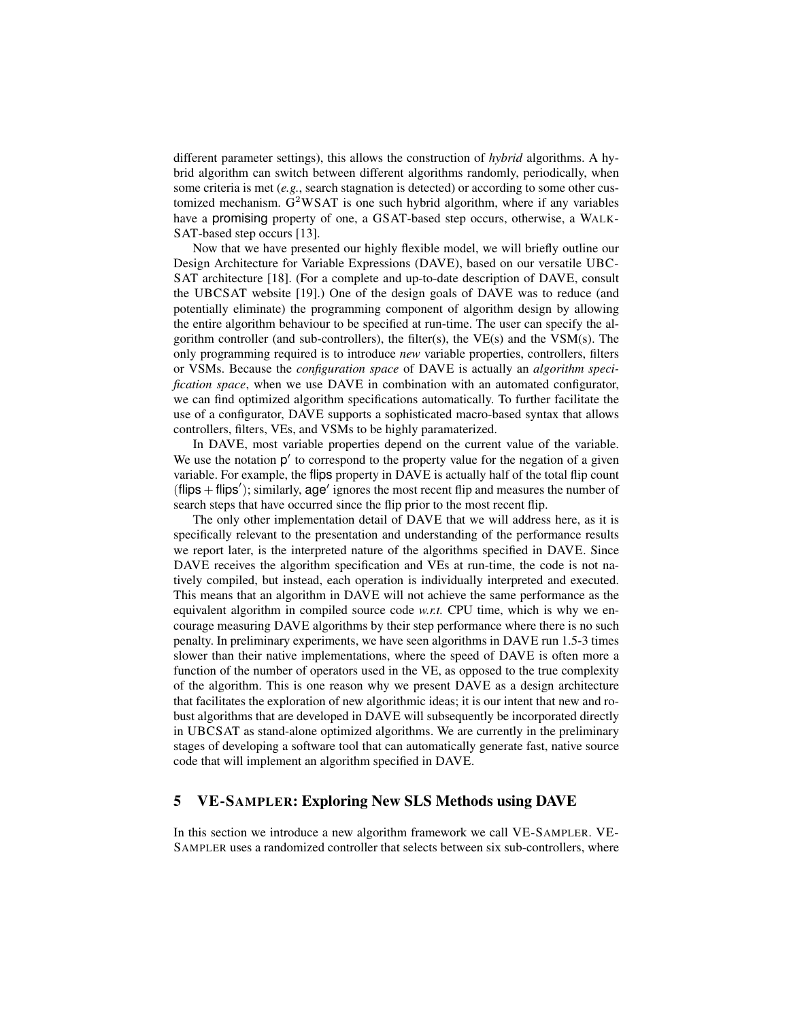different parameter settings), this allows the construction of *hybrid* algorithms. A hybrid algorithm can switch between different algorithms randomly, periodically, when some criteria is met (*e.g.*, search stagnation is detected) or according to some other customized mechanism.  $G^2WSAT$  is one such hybrid algorithm, where if any variables have a promising property of one, a GSAT-based step occurs, otherwise, a WALK-SAT-based step occurs [\[13\]](#page-13-13).

Now that we have presented our highly flexible model, we will briefly outline our Design Architecture for Variable Expressions (DAVE), based on our versatile UBC-SAT architecture [\[18\]](#page-13-3). (For a complete and up-to-date description of DAVE, consult the UBCSAT website [\[19\]](#page-13-11).) One of the design goals of DAVE was to reduce (and potentially eliminate) the programming component of algorithm design by allowing the entire algorithm behaviour to be specified at run-time. The user can specify the algorithm controller (and sub-controllers), the filter(s), the VE(s) and the VSM(s). The only programming required is to introduce *new* variable properties, controllers, filters or VSMs. Because the *configuration space* of DAVE is actually an *algorithm specification space*, when we use DAVE in combination with an automated configurator, we can find optimized algorithm specifications automatically. To further facilitate the use of a configurator, DAVE supports a sophisticated macro-based syntax that allows controllers, filters, VEs, and VSMs to be highly paramaterized.

In DAVE, most variable properties depend on the current value of the variable. We use the notation  $p'$  to correspond to the property value for the negation of a given variable. For example, the flips property in DAVE is actually half of the total flip count  $(flips + flips')$ ; similarly, age' ignores the most recent flip and measures the number of search steps that have occurred since the flip prior to the most recent flip.

The only other implementation detail of DAVE that we will address here, as it is specifically relevant to the presentation and understanding of the performance results we report later, is the interpreted nature of the algorithms specified in DAVE. Since DAVE receives the algorithm specification and VEs at run-time, the code is not natively compiled, but instead, each operation is individually interpreted and executed. This means that an algorithm in DAVE will not achieve the same performance as the equivalent algorithm in compiled source code *w.r.t.* CPU time, which is why we encourage measuring DAVE algorithms by their step performance where there is no such penalty. In preliminary experiments, we have seen algorithms in DAVE run 1.5-3 times slower than their native implementations, where the speed of DAVE is often more a function of the number of operators used in the VE, as opposed to the true complexity of the algorithm. This is one reason why we present DAVE as a design architecture that facilitates the exploration of new algorithmic ideas; it is our intent that new and robust algorithms that are developed in DAVE will subsequently be incorporated directly in UBCSAT as stand-alone optimized algorithms. We are currently in the preliminary stages of developing a software tool that can automatically generate fast, native source code that will implement an algorithm specified in DAVE.

# <span id="page-8-0"></span>5 VE-SAMPLER: Exploring New SLS Methods using DAVE

In this section we introduce a new algorithm framework we call VE-SAMPLER. VE-SAMPLER uses a randomized controller that selects between six sub-controllers, where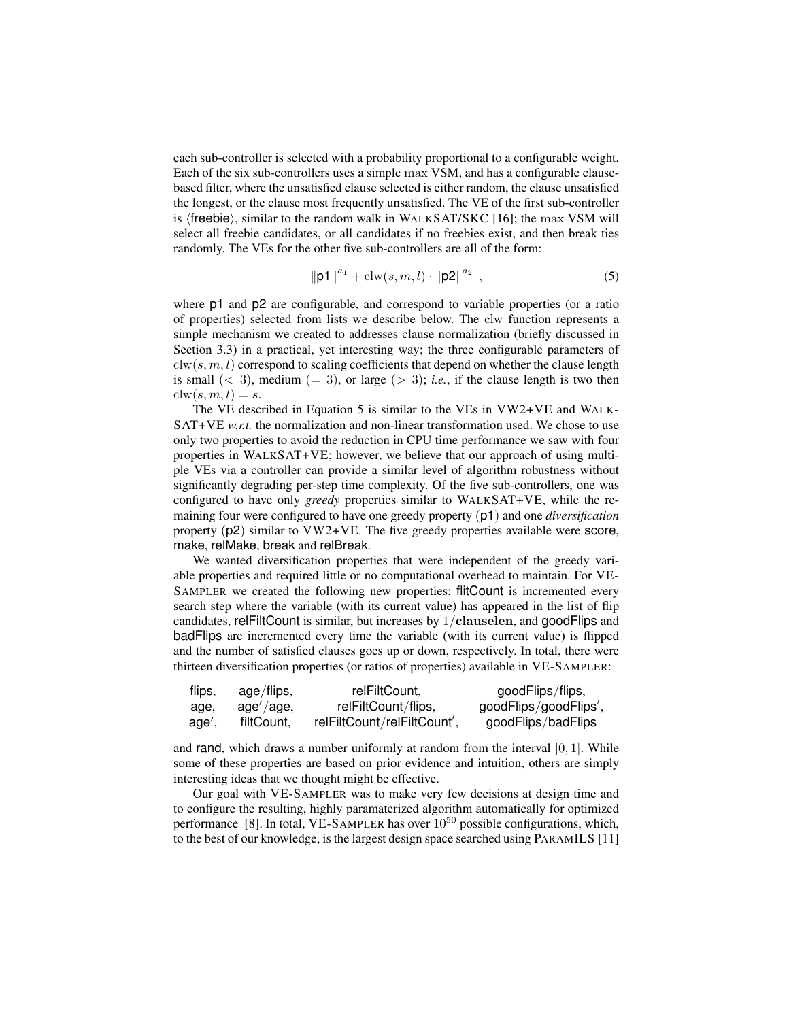each sub-controller is selected with a probability proportional to a configurable weight. Each of the six sub-controllers uses a simple max VSM, and has a configurable clausebased filter, where the unsatisfied clause selected is either random, the clause unsatisfied the longest, or the clause most frequently unsatisfied. The VE of the first sub-controller is  $\langle$  freebie $\rangle$ , similar to the random walk in WALKSAT/SKC [\[16\]](#page-13-12); the max VSM will select all freebie candidates, or all candidates if no freebies exist, and then break ties randomly. The VEs for the other five sub-controllers are all of the form:

<span id="page-9-0"></span>
$$
\|\mathbf{p1}\|^{a_1} + \text{clw}(s, m, l) \cdot \|\mathbf{p2}\|^{a_2} \tag{5}
$$

where p1 and p2 are configurable, and correspond to variable properties (or a ratio of properties) selected from lists we describe below. The clw function represents a simple mechanism we created to addresses clause normalization (briefly discussed in [Section 3.3\)](#page-4-1) in a practical, yet interesting way; the three configurable parameters of  $\text{clw}(s, m, l)$  correspond to scaling coefficients that depend on whether the clause length is small  $(< 3)$ , medium  $(= 3)$ , or large  $(> 3)$ ; *i.e.*, if the clause length is two then  $clw(s, m, l) = s.$ 

The VE described in [Equation 5](#page-9-0) is similar to the VEs in VW2+VE and WALK- $SAT+VE w.r.t.$  the normalization and non-linear transformation used. We chose to use only two properties to avoid the reduction in CPU time performance we saw with four properties in WALKSAT+VE; however, we believe that our approach of using multiple VEs via a controller can provide a similar level of algorithm robustness without significantly degrading per-step time complexity. Of the five sub-controllers, one was configured to have only *greedy* properties similar to WALKSAT+VE, while the remaining four were configured to have one greedy property (p1) and one *diversification* property (p2) similar to VW2+VE. The five greedy properties available were score, make, relMake, break and relBreak.

We wanted diversification properties that were independent of the greedy variable properties and required little or no computational overhead to maintain. For VE-SAMPLER we created the following new properties: flitCount is incremented every search step where the variable (with its current value) has appeared in the list of flip candidates, relFiltCount is similar, but increases by 1/clauselen, and goodFlips and badFlips are incremented every time the variable (with its current value) is flipped and the number of satisfied clauses goes up or down, respectively. In total, there were thirteen diversification properties (or ratios of properties) available in VE-SAMPLER:

| flips, | age/flips, | relFiltCount,               | goodFlips/flips,      |
|--------|------------|-----------------------------|-----------------------|
| age,   | age'/age,  | relFiltCount/flips,         | goodFlips/goodFlips', |
| age',  | filtCount. | relFiltCount/relFiltCount', | goodFlips/badFlips    |

and rand, which draws a number uniformly at random from the interval  $[0, 1]$ . While some of these properties are based on prior evidence and intuition, others are simply interesting ideas that we thought might be effective.

Our goal with VE-SAMPLER was to make very few decisions at design time and to configure the resulting, highly paramaterized algorithm automatically for optimized performance [\[8\]](#page-13-18). In total, VE-SAMPLER has over  $10^{50}$  possible configurations, which, to the best of our knowledge, is the largest design space searched using PARAMILS [\[11\]](#page-13-4)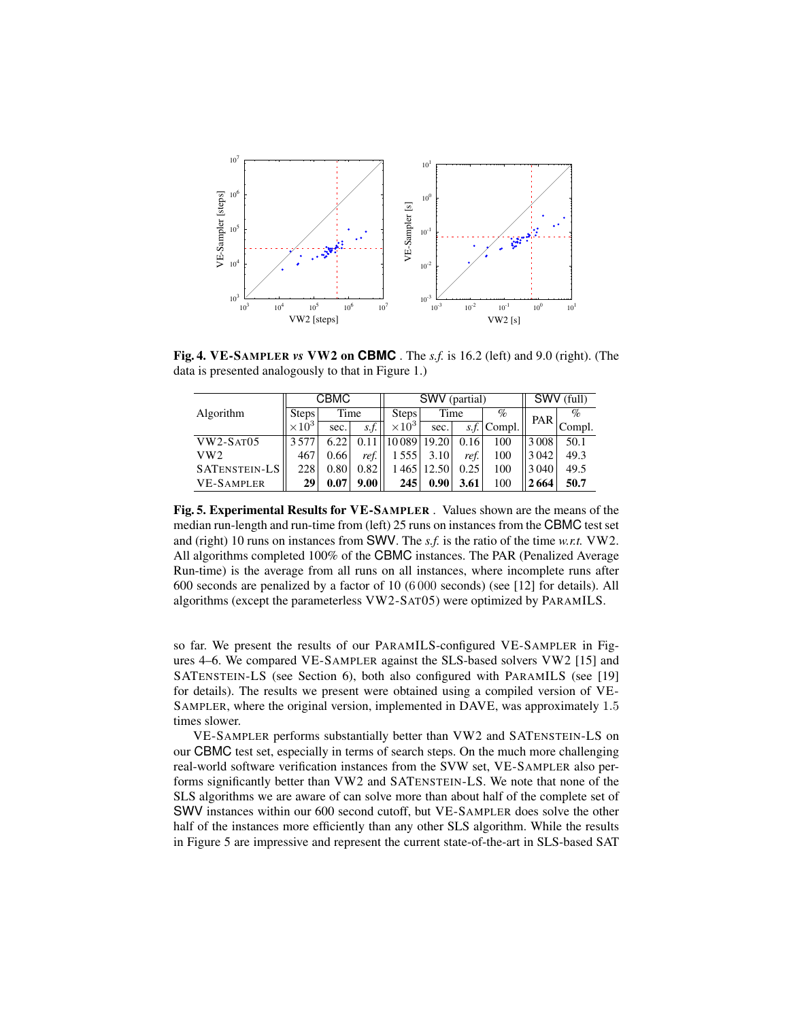<span id="page-10-0"></span>

Fig. 4. VE-SAMPLER *vs* VW2 on **CBMC** . The *s.f.* is 16.2 (left) and 9.0 (right). (The data is presented analogously to that in [Figure 1.](#page-4-0))

<span id="page-10-1"></span>

|                   | CBMC          |      |      | SWV (partial) |       |      |                       | <b>SWV</b><br>(full) |        |
|-------------------|---------------|------|------|---------------|-------|------|-----------------------|----------------------|--------|
| Algorithm         | <b>Steps</b>  | Time |      | <b>Steps</b>  | Time  |      | %                     | PAR                  | $\%$   |
|                   | $\times 10^3$ | sec. | s.f. | $\times 10^3$ | sec.  |      | s.f. $\lfloor$ Compl. |                      | Compl. |
| $VW2-SAT05$       |               | 6.22 | 0.11 | 10089         | 19.20 | 0.16 | 100                   | 3008                 | 50.1   |
| VW2               | 467           | 0.66 | ref. | 1555          | 3.10  | ref. | 100                   | 3042                 | 49.3   |
| SATENSTEIN-LS     | 228           | 0.80 | 0.82 | 1465          | 12.50 | 0.25 | 100                   | 3040                 | 49.5   |
| <b>VE-SAMPLER</b> | 29            | 0.07 | 9.00 | 245           | 0.90  | 3.61 | 100                   | 2 6 6 4              | 50.7   |

Fig. 5. Experimental Results for VE-SAMPLER . Values shown are the means of the median run-length and run-time from (left) 25 runs on instances from the CBMC test set and (right) 10 runs on instances from SWV. The *s.f.* is the ratio of the time *w.r.t.* VW2. All algorithms completed 100% of the CBMC instances. The PAR (Penalized Average Run-time) is the average from all runs on all instances, where incomplete runs after 600 seconds are penalized by a factor of 10 (6 000 seconds) (see [\[12\]](#page-13-5) for details). All algorithms (except the parameterless VW2-SAT05) were optimized by PARAMILS.

so far. We present the results of our PARAMILS-configured VE-SAMPLER in Figures [4](#page-10-0)[–6.](#page-11-1) We compared VE-SAMPLER against the SLS-based solvers VW2 [\[15\]](#page-13-15) and SATENSTEIN-LS (see [Section 6\)](#page-11-0), both also configured with PARAMILS (see [\[19\]](#page-13-11) for details). The results we present were obtained using a compiled version of VE-SAMPLER, where the original version, implemented in DAVE, was approximately 1.5 times slower.

VE-SAMPLER performs substantially better than VW2 and SATENSTEIN-LS on our CBMC test set, especially in terms of search steps. On the much more challenging real-world software verification instances from the SVW set, VE-SAMPLER also performs significantly better than VW2 and SATENSTEIN-LS. We note that none of the SLS algorithms we are aware of can solve more than about half of the complete set of SWV instances within our 600 second cutoff, but VE-SAMPLER does solve the other half of the instances more efficiently than any other SLS algorithm. While the results in [Figure 5](#page-10-1) are impressive and represent the current state-of-the-art in SLS-based SAT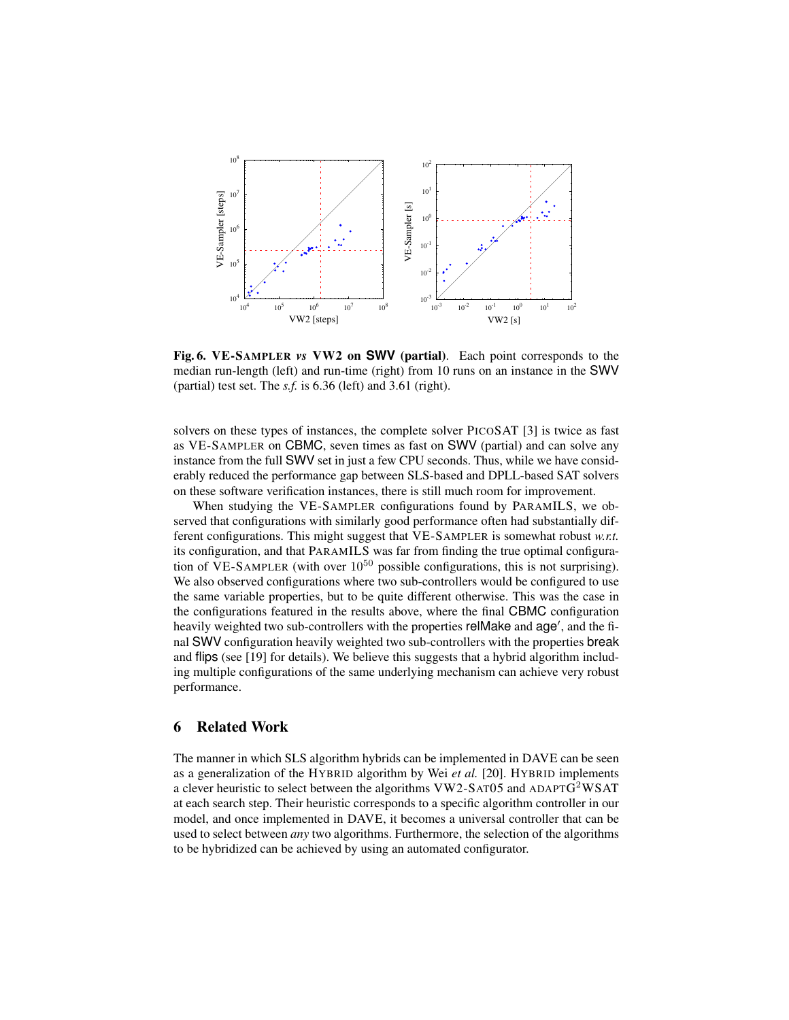<span id="page-11-1"></span>

Fig. 6. VE-SAMPLER *vs* VW2 on **SWV** (partial). Each point corresponds to the median run-length (left) and run-time (right) from 10 runs on an instance in the SWV (partial) test set. The *s.f.* is 6.36 (left) and 3.61 (right).

solvers on these types of instances, the complete solver PICOSAT [\[3\]](#page-13-8) is twice as fast as VE-SAMPLER on CBMC, seven times as fast on SWV (partial) and can solve any instance from the full SWV set in just a few CPU seconds. Thus, while we have considerably reduced the performance gap between SLS-based and DPLL-based SAT solvers on these software verification instances, there is still much room for improvement.

When studying the VE-SAMPLER configurations found by PARAMILS, we observed that configurations with similarly good performance often had substantially different configurations. This might suggest that VE-SAMPLER is somewhat robust *w.r.t.* its configuration, and that PARAMILS was far from finding the true optimal configuration of VE-SAMPLER (with over  $10^{50}$  possible configurations, this is not surprising). We also observed configurations where two sub-controllers would be configured to use the same variable properties, but to be quite different otherwise. This was the case in the configurations featured in the results above, where the final CBMC configuration heavily weighted two sub-controllers with the properties relMake and age', and the final SWV configuration heavily weighted two sub-controllers with the properties break and flips (see [\[19\]](#page-13-11) for details). We believe this suggests that a hybrid algorithm including multiple configurations of the same underlying mechanism can achieve very robust performance.

### <span id="page-11-0"></span>6 Related Work

The manner in which SLS algorithm hybrids can be implemented in DAVE can be seen as a generalization of the HYBRID algorithm by Wei *et al.* [\[20\]](#page-13-16). HYBRID implements a clever heuristic to select between the algorithms VW2-SAT05 and ADAPTG<sup>2</sup>WSAT at each search step. Their heuristic corresponds to a specific algorithm controller in our model, and once implemented in DAVE, it becomes a universal controller that can be used to select between *any* two algorithms. Furthermore, the selection of the algorithms to be hybridized can be achieved by using an automated configurator.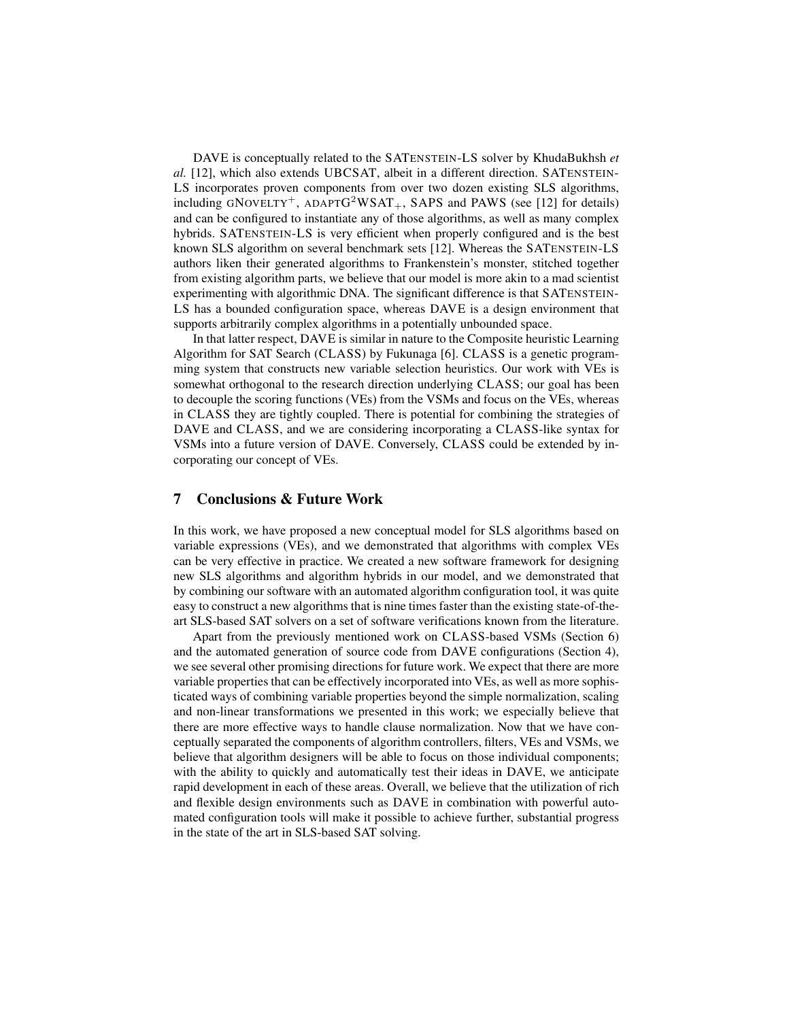DAVE is conceptually related to the SATENSTEIN-LS solver by KhudaBukhsh *et al.* [\[12\]](#page-13-5), which also extends UBCSAT, albeit in a different direction. SATENSTEIN-LS incorporates proven components from over two dozen existing SLS algorithms, including GNOVELTY<sup>+</sup>, ADAPT $G^2WSAT_+$ , SAPS and PAWS (see [\[12\]](#page-13-5) for details) and can be configured to instantiate any of those algorithms, as well as many complex hybrids. SATENSTEIN-LS is very efficient when properly configured and is the best known SLS algorithm on several benchmark sets [\[12\]](#page-13-5). Whereas the SATENSTEIN-LS authors liken their generated algorithms to Frankenstein's monster, stitched together from existing algorithm parts, we believe that our model is more akin to a mad scientist experimenting with algorithmic DNA. The significant difference is that SATENSTEIN-LS has a bounded configuration space, whereas DAVE is a design environment that supports arbitrarily complex algorithms in a potentially unbounded space.

In that latter respect, DAVE is similar in nature to the Composite heuristic Learning Algorithm for SAT Search (CLASS) by Fukunaga [\[6\]](#page-13-19). CLASS is a genetic programming system that constructs new variable selection heuristics. Our work with VEs is somewhat orthogonal to the research direction underlying CLASS; our goal has been to decouple the scoring functions (VEs) from the VSMs and focus on the VEs, whereas in CLASS they are tightly coupled. There is potential for combining the strategies of DAVE and CLASS, and we are considering incorporating a CLASS-like syntax for VSMs into a future version of DAVE. Conversely, CLASS could be extended by incorporating our concept of VEs.

#### <span id="page-12-0"></span>7 Conclusions & Future Work

In this work, we have proposed a new conceptual model for SLS algorithms based on variable expressions (VEs), and we demonstrated that algorithms with complex VEs can be very effective in practice. We created a new software framework for designing new SLS algorithms and algorithm hybrids in our model, and we demonstrated that by combining our software with an automated algorithm configuration tool, it was quite easy to construct a new algorithms that is nine times faster than the existing state-of-theart SLS-based SAT solvers on a set of software verifications known from the literature.

Apart from the previously mentioned work on CLASS-based VSMs [\(Section 6\)](#page-11-0) and the automated generation of source code from DAVE configurations [\(Section 4\)](#page-6-0), we see several other promising directions for future work. We expect that there are more variable properties that can be effectively incorporated into VEs, as well as more sophisticated ways of combining variable properties beyond the simple normalization, scaling and non-linear transformations we presented in this work; we especially believe that there are more effective ways to handle clause normalization. Now that we have conceptually separated the components of algorithm controllers, filters, VEs and VSMs, we believe that algorithm designers will be able to focus on those individual components; with the ability to quickly and automatically test their ideas in DAVE, we anticipate rapid development in each of these areas. Overall, we believe that the utilization of rich and flexible design environments such as DAVE in combination with powerful automated configuration tools will make it possible to achieve further, substantial progress in the state of the art in SLS-based SAT solving.